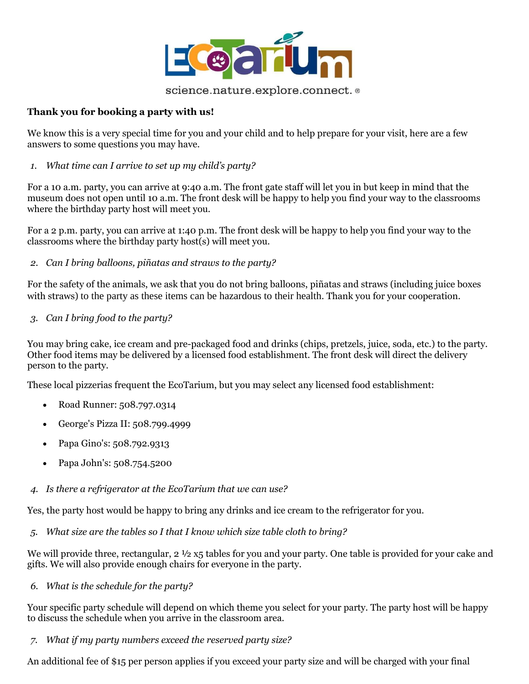

## **Thank you for booking a party with us!**

We know this is a very special time for you and your child and to help prepare for your visit, here are a few answers to some questions you may have.

*1. What time can I arrive to set up my child's party?*

For a 10 a.m. party, you can arrive at 9:40 a.m. The front gate staff will let you in but keep in mind that the museum does not open until 10 a.m. The front desk will be happy to help you find your way to the classrooms where the birthday party host will meet you.

For a 2 p.m. party, you can arrive at 1:40 p.m. The front desk will be happy to help you find your way to the classrooms where the birthday party host(s) will meet you.

*2. Can I bring balloons, piñatas and straws to the party?*

For the safety of the animals, we ask that you do not bring balloons, piñatas and straws (including juice boxes with straws) to the party as these items can be hazardous to their health. Thank you for your cooperation.

*3. Can I bring food to the party?* 

You may bring cake, ice cream and pre-packaged food and drinks (chips, pretzels, juice, soda, etc.) to the party. Other food items may be delivered by a licensed food establishment. The front desk will direct the delivery person to the party.

These local pizzerias frequent the EcoTarium, but you may select any licensed food establishment:

- Road Runner: 508.797.0314
- George's Pizza II: 508.799.4999
- Papa Gino's: 508.792.9313
- Papa John's: 508.754.5200
- *4. Is there a refrigerator at the EcoTarium that we can use?*

Yes, the party host would be happy to bring any drinks and ice cream to the refrigerator for you.

*5. What size are the tables so I that I know which size table cloth to bring?*

We will provide three, rectangular,  $2 \frac{1}{2}$  x5 tables for you and your party. One table is provided for your cake and gifts. We will also provide enough chairs for everyone in the party.

*6. What is the schedule for the party?*

Your specific party schedule will depend on which theme you select for your party. The party host will be happy to discuss the schedule when you arrive in the classroom area.

*7. What if my party numbers exceed the reserved party size?*

An additional fee of \$15 per person applies if you exceed your party size and will be charged with your final